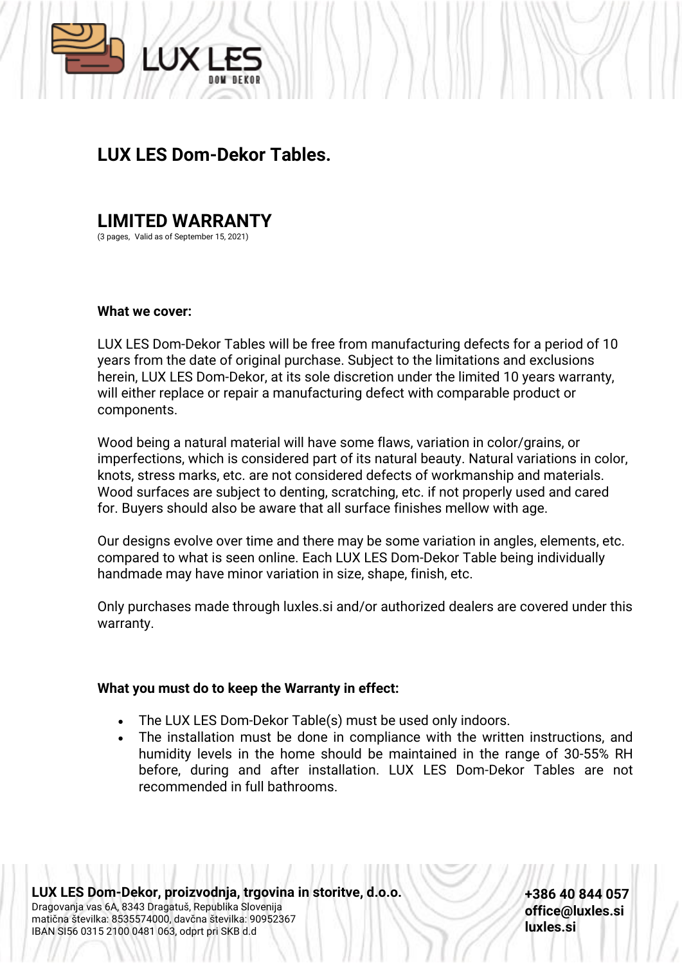

## **LUX LES Dom-Dekor Tables.**

# **LIMITED WARRANTY**

(3 pages, Valid as of September 15, 2021)

#### **What we cover:**

LUX LES Dom-Dekor Tables will be free from manufacturing defects for a period of 10 years from the date of original purchase. Subject to the limitations and exclusions herein, LUX LES Dom-Dekor, at its sole discretion under the limited 10 years warranty, will either replace or repair a manufacturing defect with comparable product or components.

Wood being a natural material will have some flaws, variation in color/grains, or imperfections, which is considered part of its natural beauty. Natural variations in color, knots, stress marks, etc. are not considered defects of workmanship and materials. Wood surfaces are subject to denting, scratching, etc. if not properly used and cared for. Buyers should also be aware that all surface finishes mellow with age.

Our designs evolve over time and there may be some variation in angles, elements, etc. compared to what is seen online. Each LUX LES Dom-Dekor Table being individually handmade may have minor variation in size, shape, finish, etc.

Only purchases made through luxles.si and/or authorized dealers are covered under this warranty.

### **What you must do to keep the Warranty in effect:**

- The LUX LES Dom-Dekor Table(s) must be used only indoors.
- The installation must be done in compliance with the written instructions, and humidity levels in the home should be maintained in the range of 30-55% RH before, during and after installation. LUX LES Dom-Dekor Tables are not recommended in full bathrooms.

**LUX LES Dom-Dekor, proizvodnja, trgovina in storitve, d.o.o.** Dragovanja vas 6A, 8343 Dragatuš, Republika Slovenija matična številka: 8535574000, davčna številka: 90952367 IBAN SI56 0315 2100 0481 063, odprt pri SKB d.d

**+386 40 844 057 office@luxles.si luxles.si**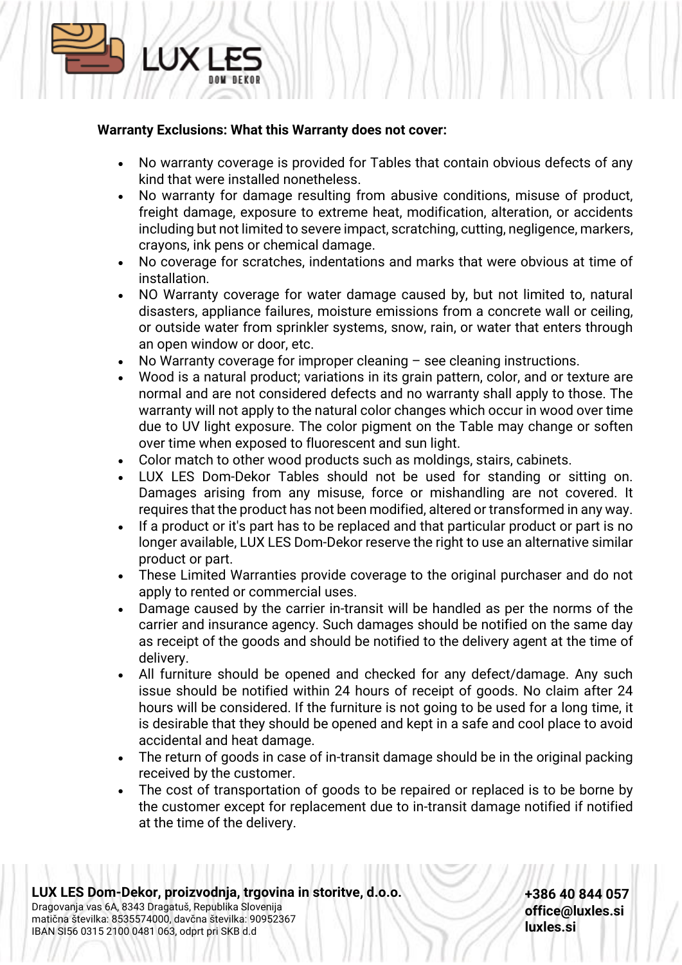### **Warranty Exclusions: What this Warranty does not cover:**

**AIX** 

- No warranty coverage is provided for Tables that contain obvious defects of any kind that were installed nonetheless.
- No warranty for damage resulting from abusive conditions, misuse of product, freight damage, exposure to extreme heat, modification, alteration, or accidents including but not limited to severe impact, scratching, cutting, negligence, markers, crayons, ink pens or chemical damage.
- No coverage for scratches, indentations and marks that were obvious at time of installation.
- NO Warranty coverage for water damage caused by, but not limited to, natural disasters, appliance failures, moisture emissions from a concrete wall or ceiling, or outside water from sprinkler systems, snow, rain, or water that enters through an open window or door, etc.
- No Warranty coverage for improper cleaning  $-$  see cleaning instructions.
- Wood is a natural product; variations in its grain pattern, color, and or texture are normal and are not considered defects and no warranty shall apply to those. The warranty will not apply to the natural color changes which occur in wood over time due to UV light exposure. The color pigment on the Table may change or soften over time when exposed to fluorescent and sun light.
- Color match to other wood products such as moldings, stairs, cabinets.
- LUX LES Dom-Dekor Tables should not be used for standing or sitting on. Damages arising from any misuse, force or mishandling are not covered. It requires that the product has not been modified, altered or transformed in any way.
- If a product or it's part has to be replaced and that particular product or part is no longer available, LUX LES Dom-Dekor reserve the right to use an alternative similar product or part.
- These Limited Warranties provide coverage to the original purchaser and do not apply to rented or commercial uses.
- Damage caused by the carrier in-transit will be handled as per the norms of the carrier and insurance agency. Such damages should be notified on the same day as receipt of the goods and should be notified to the delivery agent at the time of delivery.
- All furniture should be opened and checked for any defect/damage. Any such issue should be notified within 24 hours of receipt of goods. No claim after 24 hours will be considered. If the furniture is not going to be used for a long time, it is desirable that they should be opened and kept in a safe and cool place to avoid accidental and heat damage.
- The return of goods in case of in-transit damage should be in the original packing received by the customer.
- The cost of transportation of goods to be repaired or replaced is to be borne by the customer except for replacement due to in-transit damage notified if notified at the time of the delivery.

**+386 40 844 057 office@luxles.si luxles.si**